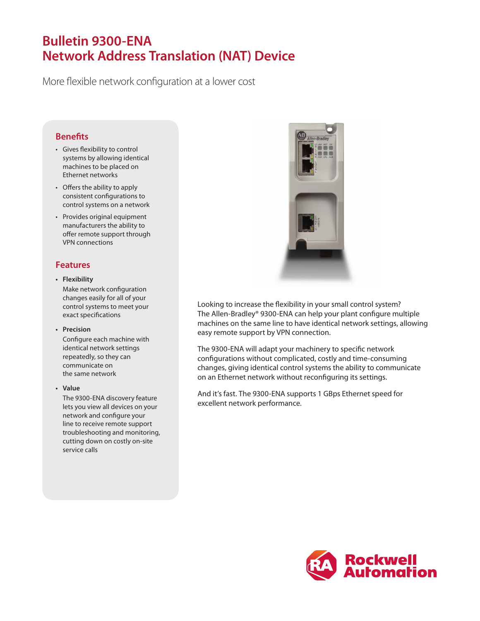# **Bulletin 9300-ENA Network Address Translation (NAT) Device**

More flexible network configuration at a lower cost

## **Benefits**

- Gives flexibility to control systems by allowing identical machines to be placed on Ethernet networks
- Offers the ability to apply consistent configurations to control systems on a network
- Provides original equipment manufacturers the ability to offer remote support through VPN connections

## **Features**

**• Flexibility**

Make network configuration changes easily for all of your control systems to meet your exact specifications

#### **• Precision**

Configure each machine with identical network settings repeatedly, so they can communicate on the same network

**• Value**

The 9300-ENA discovery feature lets you view all devices on your network and configure your line to receive remote support troubleshooting and monitoring, cutting down on costly on-site service calls



Looking to increase the flexibility in your small control system? The Allen-Bradley® 9300-ENA can help your plant configure multiple machines on the same line to have identical network settings, allowing easy remote support by VPN connection.

The 9300-ENA will adapt your machinery to specific network configurations without complicated, costly and time-consuming changes, giving identical control systems the ability to communicate on an Ethernet network without reconfiguring its settings.

And it's fast. The 9300-ENA supports 1 GBps Ethernet speed for excellent network performance.